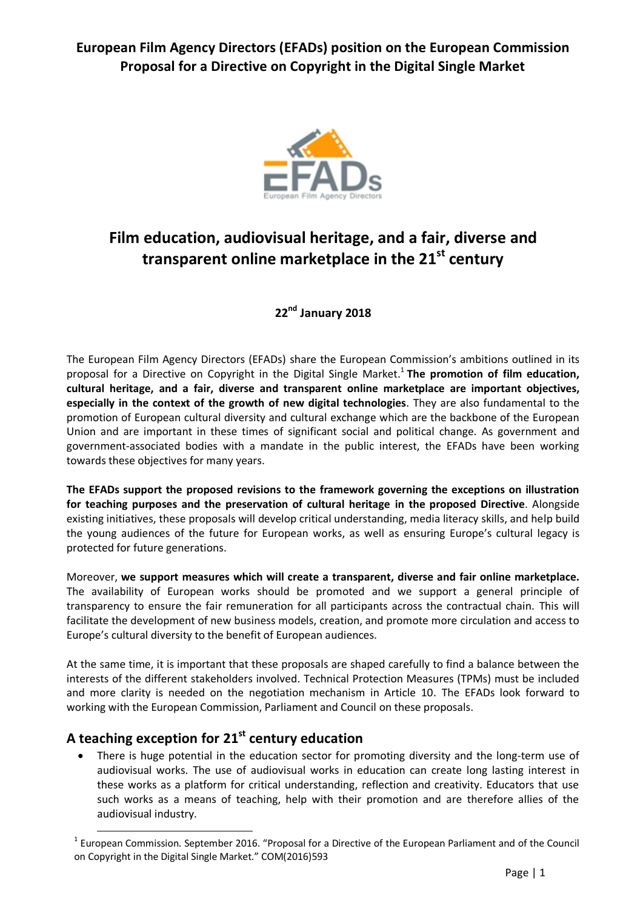**European Film Agency Directors (EFADs) position on the European Commission Proposal for a Directive on Copyright in the Digital Single Market**



# **Film education, audiovisual heritage, and a fair, diverse and transparent online marketplace in the 21st century**

# **22 nd January 2018**

The European Film Agency Directors (EFADs) share the European Commission's ambitions outlined in its proposal for a Directive on Copyright in the Digital Single Market. 1 **The promotion of film education, cultural heritage, and a fair, diverse and transparent online marketplace are important objectives, especially in the context of the growth of new digital technologies**. They are also fundamental to the promotion of European cultural diversity and cultural exchange which are the backbone of the European Union and are important in these times of significant social and political change. As government and government-associated bodies with a mandate in the public interest, the EFADs have been working towards these objectives for many years.

**The EFADs support the proposed revisions to the framework governing the exceptions on illustration for teaching purposes and the preservation of cultural heritage in the proposed Directive**. Alongside existing initiatives, these proposals will develop critical understanding, media literacy skills, and help build the young audiences of the future for European works, as well as ensuring Europe's cultural legacy is protected for future generations.

Moreover, **we support measures which will create a transparent, diverse and fair online marketplace.** The availability of European works should be promoted and we support a general principle of transparency to ensure the fair remuneration for all participants across the contractual chain. This will facilitate the development of new business models, creation, and promote more circulation and access to Europe's cultural diversity to the benefit of European audiences.

At the same time, it is important that these proposals are shaped carefully to find a balance between the interests of the different stakeholders involved. Technical Protection Measures (TPMs) must be included and more clarity is needed on the negotiation mechanism in Article 10. The EFADs look forward to working with the European Commission, Parliament and Council on these proposals.

# **A teaching exception for 21st century education**

 $\overline{a}$ 

 There is huge potential in the education sector for promoting diversity and the long-term use of audiovisual works. The use of audiovisual works in education can create long lasting interest in these works as a platform for critical understanding, reflection and creativity. Educators that use such works as a means of teaching, help with their promotion and are therefore allies of the audiovisual industry.

<sup>&</sup>lt;sup>1</sup> European Commission. September 2016. "Proposal for a Directive of the European Parliament and of the Council on Copyright in the Digital Single Market." COM(2016)593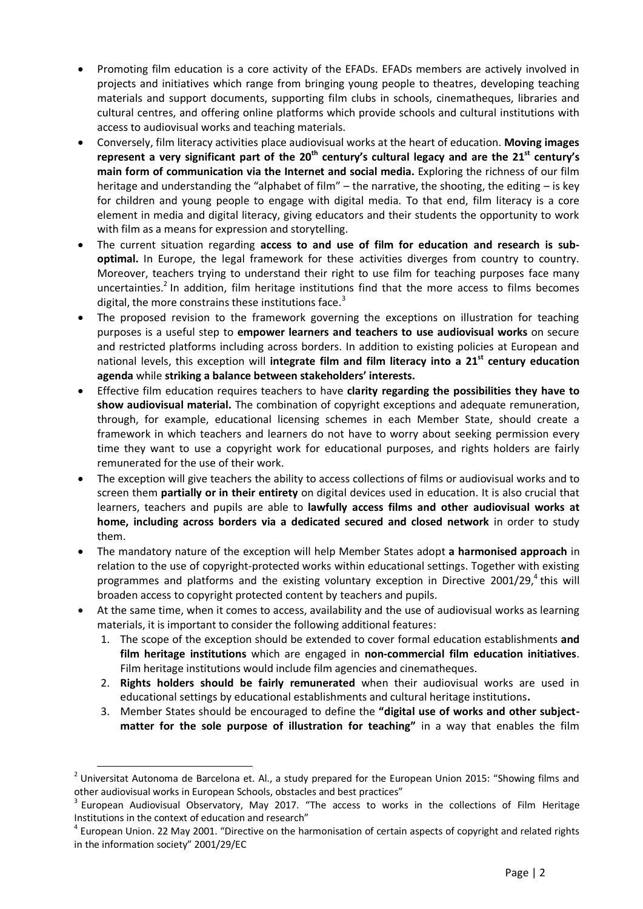- Promoting film education is a core activity of the EFADs. EFADs members are actively involved in projects and initiatives which range from bringing young people to theatres, developing teaching materials and support documents, supporting film clubs in schools, cinematheques, libraries and cultural centres, and offering online platforms which provide schools and cultural institutions with access to audiovisual works and teaching materials.
- Conversely, film literacy activities place audiovisual works at the heart of education. **Moving images represent a very significant part of the 20th century's cultural legacy and are the 21st century's main form of communication via the Internet and social media.** Exploring the richness of our film heritage and understanding the "alphabet of film" – the narrative, the shooting, the editing – is key for children and young people to engage with digital media. To that end, film literacy is a core element in media and digital literacy, giving educators and their students the opportunity to work with film as a means for expression and storytelling.
- The current situation regarding **access to and use of film for education and research is suboptimal.** In Europe, the legal framework for these activities diverges from country to country. Moreover, teachers trying to understand their right to use film for teaching purposes face many uncertainties.<sup>2</sup> In addition, film heritage institutions find that the more access to films becomes digital, the more constrains these institutions face.<sup>3</sup>
- The proposed revision to the framework governing the exceptions on illustration for teaching purposes is a useful step to **empower learners and teachers to use audiovisual works** on secure and restricted platforms including across borders. In addition to existing policies at European and national levels, this exception will **integrate film and film literacy into a 21st century education agenda** while **striking a balance between stakeholders' interests.**
- Effective film education requires teachers to have **clarity regarding the possibilities they have to show audiovisual material.** The combination of copyright exceptions and adequate remuneration, through, for example, educational licensing schemes in each Member State, should create a framework in which teachers and learners do not have to worry about seeking permission every time they want to use a copyright work for educational purposes, and rights holders are fairly remunerated for the use of their work.
- The exception will give teachers the ability to access collections of films or audiovisual works and to screen them **partially or in their entirety** on digital devices used in education. It is also crucial that learners, teachers and pupils are able to **lawfully access films and other audiovisual works at home, including across borders via a dedicated secured and closed network** in order to study them.
- The mandatory nature of the exception will help Member States adopt **a harmonised approach** in relation to the use of copyright-protected works within educational settings. Together with existing programmes and platforms and the existing voluntary exception in Directive 2001/29,<sup>4</sup> this will broaden access to copyright protected content by teachers and pupils.
- At the same time, when it comes to access, availability and the use of audiovisual works as learning materials, it is important to consider the following additional features:
	- 1. The scope of the exception should be extended to cover formal education establishments **and film heritage institutions** which are engaged in **non-commercial film education initiatives**. Film heritage institutions would include film agencies and cinematheques.
	- 2. **Rights holders should be fairly remunerated** when their audiovisual works are used in educational settings by educational establishments and cultural heritage institutions**.**
	- 3. Member States should be encouraged to define the **"digital use of works and other subjectmatter for the sole purpose of illustration for teaching"** in a way that enables the film

 $\overline{a}$ 

 $^2$  Universitat Autonoma de Barcelona et. Al., a study prepared for the European Union 2015: "Showing films and other audiovisual works in European Schools, obstacles and best practices"

<sup>3</sup> European Audiovisual Observatory, May 2017. "The access to works in the collections of Film Heritage Institutions in the context of education and research"

<sup>&</sup>lt;sup>4</sup> European Union. 22 May 2001. "Directive on the harmonisation of certain aspects of copyright and related rights in the information society" 2001/29/EC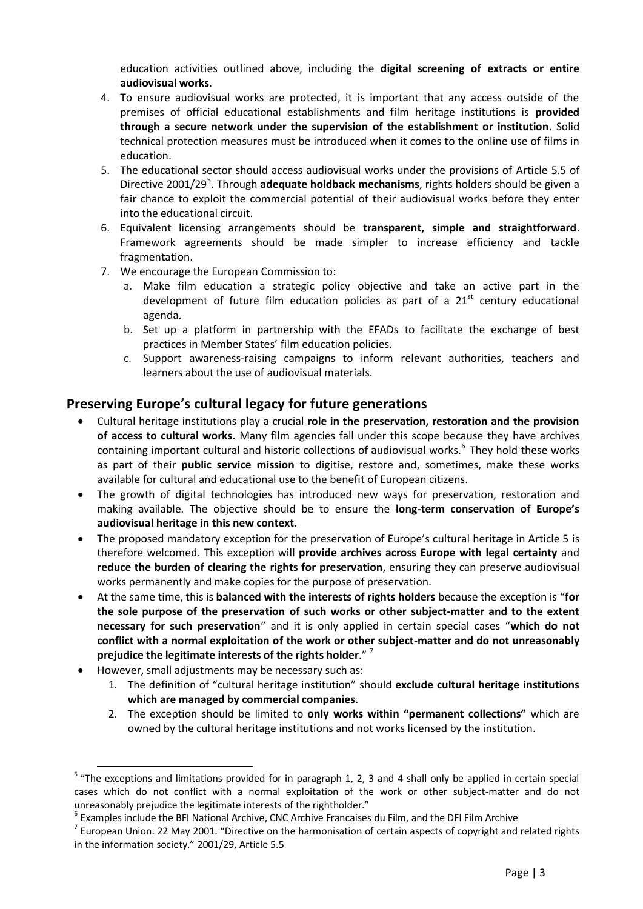education activities outlined above, including the **digital screening of extracts or entire audiovisual works**.

- 4. To ensure audiovisual works are protected, it is important that any access outside of the premises of official educational establishments and film heritage institutions is **provided through a secure network under the supervision of the establishment or institution**. Solid technical protection measures must be introduced when it comes to the online use of films in education.
- 5. The educational sector should access audiovisual works under the provisions of Article 5.5 of Directive 2001/29<sup>5</sup>. Through adequate holdback mechanisms, rights holders should be given a fair chance to exploit the commercial potential of their audiovisual works before they enter into the educational circuit.
- 6. Equivalent licensing arrangements should be **transparent, simple and straightforward**. Framework agreements should be made simpler to increase efficiency and tackle fragmentation.
- 7. We encourage the European Commission to:
	- a. Make film education a strategic policy objective and take an active part in the development of future film education policies as part of a  $21<sup>st</sup>$  century educational agenda.
	- b. Set up a platform in partnership with the EFADs to facilitate the exchange of best practices in Member States' film education policies.
	- c. Support awareness-raising campaigns to inform relevant authorities, teachers and learners about the use of audiovisual materials.

### **Preserving Europe's cultural legacy for future generations**

- Cultural heritage institutions play a crucial **role in the preservation, restoration and the provision of access to cultural works**. Many film agencies fall under this scope because they have archives containing important cultural and historic collections of audiovisual works.<sup>6</sup> They hold these works as part of their **public service mission** to digitise, restore and, sometimes, make these works available for cultural and educational use to the benefit of European citizens.
- The growth of digital technologies has introduced new ways for preservation, restoration and making available. The objective should be to ensure the **long-term conservation of Europe's audiovisual heritage in this new context.**
- The proposed mandatory exception for the preservation of Europe's cultural heritage in Article 5 is therefore welcomed. This exception will **provide archives across Europe with legal certainty** and **reduce the burden of clearing the rights for preservation**, ensuring they can preserve audiovisual works permanently and make copies for the purpose of preservation.
- At the same time, this is **balanced with the interests of rights holders** because the exception is "**for the sole purpose of the preservation of such works or other subject-matter and to the extent necessary for such preservation**" and it is only applied in certain special cases "**which do not conflict with a normal exploitation of the work or other subject-matter and do not unreasonably prejudice the legitimate interests of the rights holder**." 7
- However, small adjustments may be necessary such as:
	- 1. The definition of "cultural heritage institution" should **exclude cultural heritage institutions which are managed by commercial companies**.
	- 2. The exception should be limited to **only works within "permanent collections"** which are owned by the cultural heritage institutions and not works licensed by the institution.

 $\overline{a}$ <sup>5</sup> "The exceptions and limitations provided for in paragraph 1, 2, 3 and 4 shall only be applied in certain special cases which do not conflict with a normal exploitation of the work or other subject-matter and do not unreasonably prejudice the legitimate interests of the rightholder."

 $^6$  Examples include the BFI National Archive, CNC Archive Francaises du Film, and the DFI Film Archive

 $^7$  European Union. 22 May 2001. "Directive on the harmonisation of certain aspects of copyright and related rights in the information society." 2001/29, Article 5.5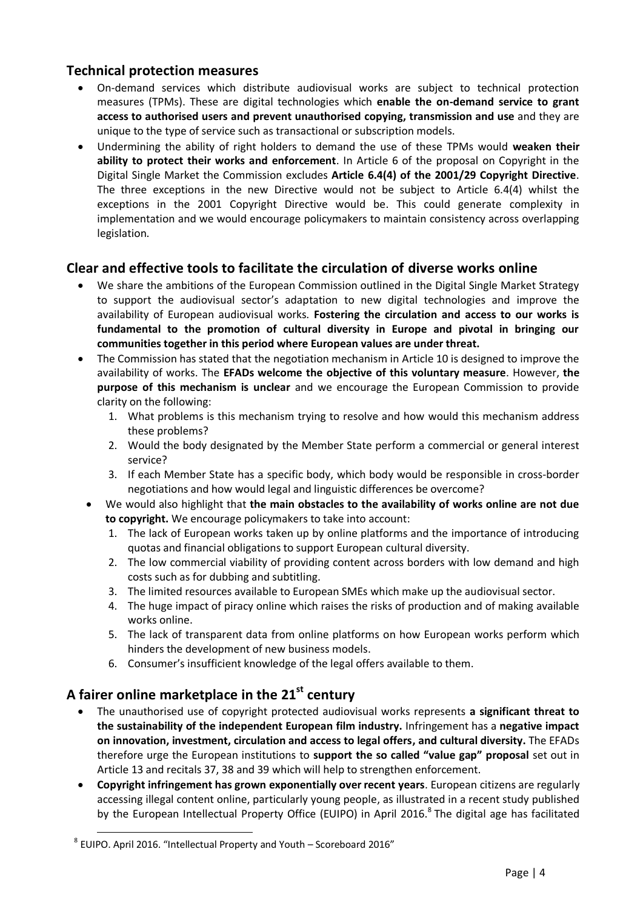## **Technical protection measures**

- On-demand services which distribute audiovisual works are subject to technical protection measures (TPMs). These are digital technologies which **enable the on-demand service to grant access to authorised users and prevent unauthorised copying, transmission and use** and they are unique to the type of service such as transactional or subscription models.
- Undermining the ability of right holders to demand the use of these TPMs would **weaken their ability to protect their works and enforcement**. In Article 6 of the proposal on Copyright in the Digital Single Market the Commission excludes **Article 6.4(4) of the 2001/29 Copyright Directive**. The three exceptions in the new Directive would not be subject to Article 6.4(4) whilst the exceptions in the 2001 Copyright Directive would be. This could generate complexity in implementation and we would encourage policymakers to maintain consistency across overlapping legislation.

## **Clear and effective tools to facilitate the circulation of diverse works online**

- We share the ambitions of the European Commission outlined in the Digital Single Market Strategy to support the audiovisual sector's adaptation to new digital technologies and improve the availability of European audiovisual works. **Fostering the circulation and access to our works is fundamental to the promotion of cultural diversity in Europe and pivotal in bringing our communities together in this period where European values are under threat.**
- The Commission has stated that the negotiation mechanism in Article 10 is designed to improve the availability of works. The **EFADs welcome the objective of this voluntary measure**. However, **the purpose of this mechanism is unclear** and we encourage the European Commission to provide clarity on the following:
	- 1. What problems is this mechanism trying to resolve and how would this mechanism address these problems?
	- 2. Would the body designated by the Member State perform a commercial or general interest service?
	- 3. If each Member State has a specific body, which body would be responsible in cross-border negotiations and how would legal and linguistic differences be overcome?
	- We would also highlight that **the main obstacles to the availability of works online are not due to copyright.** We encourage policymakers to take into account:
		- 1. The lack of European works taken up by online platforms and the importance of introducing quotas and financial obligations to support European cultural diversity.
		- 2. The low commercial viability of providing content across borders with low demand and high costs such as for dubbing and subtitling.
		- 3. The limited resources available to European SMEs which make up the audiovisual sector.
		- 4. The huge impact of piracy online which raises the risks of production and of making available works online.
		- 5. The lack of transparent data from online platforms on how European works perform which hinders the development of new business models.
		- 6. Consumer's insufficient knowledge of the legal offers available to them.

# **A fairer online marketplace in the 21st century**

- The unauthorised use of copyright protected audiovisual works represents **a significant threat to the sustainability of the independent European film industry.** Infringement has a **negative impact on innovation, investment, circulation and access to legal offers, and cultural diversity.** The EFADs therefore urge the European institutions to **support the so called "value gap" proposal** set out in Article 13 and recitals 37, 38 and 39 which will help to strengthen enforcement.
- **Copyright infringement has grown exponentially over recent years**. European citizens are regularly accessing illegal content online, particularly young people, as illustrated in a recent study published by the European Intellectual Property Office (EUIPO) in April 2016. ${}^{8}$  The digital age has facilitated

l

 $^8$  EUIPO. April 2016. "Intellectual Property and Youth – Scoreboard 2016"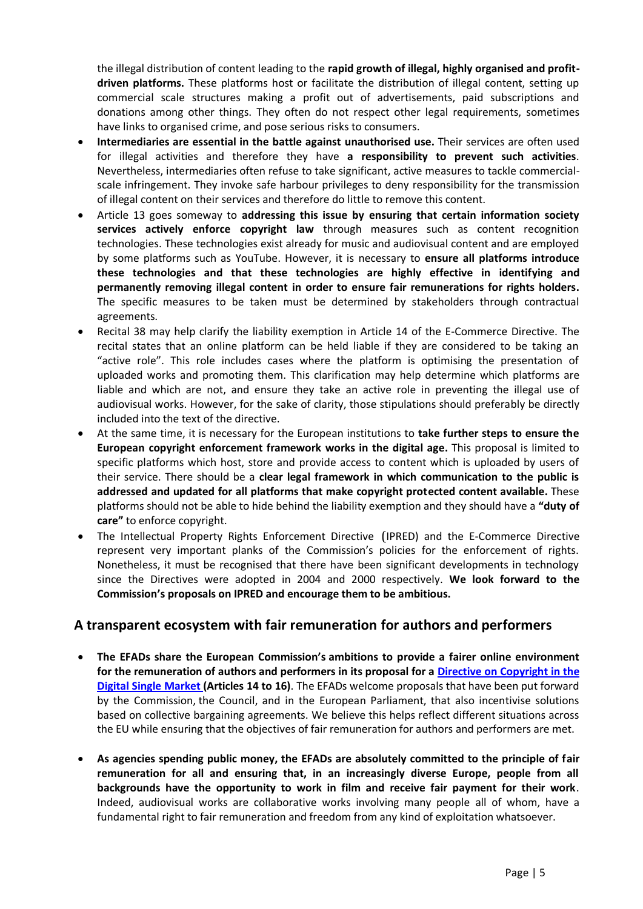the illegal distribution of content leading to the **rapid growth of illegal, highly organised and profitdriven platforms.** These platforms host or facilitate the distribution of illegal content, setting up commercial scale structures making a profit out of advertisements, paid subscriptions and donations among other things. They often do not respect other legal requirements, sometimes have links to organised crime, and pose serious risks to consumers.

- **Intermediaries are essential in the battle against unauthorised use.** Their services are often used for illegal activities and therefore they have **a responsibility to prevent such activities**. Nevertheless, intermediaries often refuse to take significant, active measures to tackle commercialscale infringement. They invoke safe harbour privileges to deny responsibility for the transmission of illegal content on their services and therefore do little to remove this content.
- Article 13 goes someway to **addressing this issue by ensuring that certain information society services actively enforce copyright law** through measures such as content recognition technologies. These technologies exist already for music and audiovisual content and are employed by some platforms such as YouTube. However, it is necessary to **ensure all platforms introduce these technologies and that these technologies are highly effective in identifying and permanently removing illegal content in order to ensure fair remunerations for rights holders.** The specific measures to be taken must be determined by stakeholders through contractual agreements.
- Recital 38 may help clarify the liability exemption in Article 14 of the E-Commerce Directive. The recital states that an online platform can be held liable if they are considered to be taking an "active role". This role includes cases where the platform is optimising the presentation of uploaded works and promoting them. This clarification may help determine which platforms are liable and which are not, and ensure they take an active role in preventing the illegal use of audiovisual works. However, for the sake of clarity, those stipulations should preferably be directly included into the text of the directive.
- At the same time, it is necessary for the European institutions to **take further steps to ensure the European copyright enforcement framework works in the digital age.** This proposal is limited to specific platforms which host, store and provide access to content which is uploaded by users of their service. There should be a **clear legal framework in which communication to the public is addressed and updated for all platforms that make copyright protected content available.** These platforms should not be able to hide behind the liability exemption and they should have a **"duty of care"** to enforce copyright.
- The Intellectual Property Rights Enforcement Directive (IPRED) and the E-Commerce Directive represent very important planks of the Commission's policies for the enforcement of rights. Nonetheless, it must be recognised that there have been significant developments in technology since the Directives were adopted in 2004 and 2000 respectively. **We look forward to the Commission's proposals on IPRED and encourage them to be ambitious.**

#### **A transparent ecosystem with fair remuneration for authors and performers**

- **The EFADs share the European Commission's ambitions to provide a fairer online environment for the remuneration of authors and performers in its proposal for a [Directive on Copyright in the](https://ec.europa.eu/digital-single-market/en/news/proposal-directive-european-parliament-and-council-copyright-digital-single-market)  [Digital Single Market](https://ec.europa.eu/digital-single-market/en/news/proposal-directive-european-parliament-and-council-copyright-digital-single-market) (Articles 14 to 16)**. The EFADs welcome proposals that have been put forward by the Commission, the Council, and in the European Parliament, that also incentivise solutions based on collective bargaining agreements. We believe this helps reflect different situations across the EU while ensuring that the objectives of fair remuneration for authors and performers are met.
- **As agencies spending public money, the EFADs are absolutely committed to the principle of fair remuneration for all and ensuring that, in an increasingly diverse Europe, people from all backgrounds have the opportunity to work in film and receive fair payment for their work**. Indeed, audiovisual works are collaborative works involving many people all of whom, have a fundamental right to fair remuneration and freedom from any kind of exploitation whatsoever.